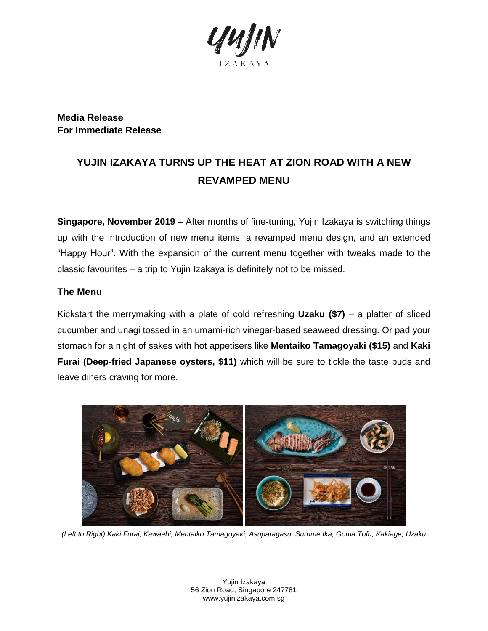

**Media Release For Immediate Release**

# **YUJIN IZAKAYA TURNS UP THE HEAT AT ZION ROAD WITH A NEW REVAMPED MENU**

**Singapore, November 2019** – After months of fine-tuning, Yujin Izakaya is switching things up with the introduction of new menu items, a revamped menu design, and an extended "Happy Hour". With the expansion of the current menu together with tweaks made to the classic favourites – a trip to Yujin Izakaya is definitely not to be missed.

### **The Menu**

Kickstart the merrymaking with a plate of cold refreshing **Uzaku (\$7)** – a platter of sliced cucumber and unagi tossed in an umami-rich vinegar-based seaweed dressing. Or pad your stomach for a night of sakes with hot appetisers like **Mentaiko Tamagoyaki (\$15)** and **Kaki Furai (Deep-fried Japanese oysters, \$11)** which will be sure to tickle the taste buds and leave diners craving for more.



*(Left to Right) Kaki Furai, Kawaebi, Mentaiko Tamagoyaki, Asuparagasu, Surume Ika, Goma Tofu, Kakiage, Uzaku*

Yujin Izakaya 56 Zion Road, Singapore 247781 [www.yujinizakaya.com.sg](http://www.yujinizakaya.com.sg/)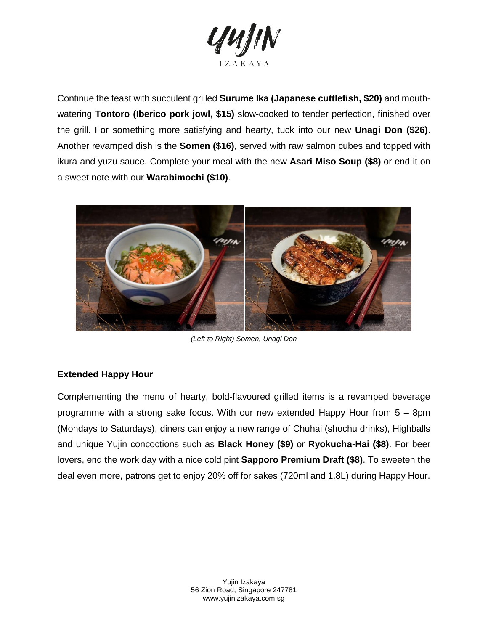

Continue the feast with succulent grilled **Surume Ika (Japanese cuttlefish, \$20)** and mouthwatering **Tontoro (Iberico pork jowl, \$15)** slow-cooked to tender perfection, finished over the grill. For something more satisfying and hearty, tuck into our new **Unagi Don (\$26)**. Another revamped dish is the **Somen (\$16)**, served with raw salmon cubes and topped with ikura and yuzu sauce. Complete your meal with the new **Asari Miso Soup (\$8)** or end it on a sweet note with our **Warabimochi (\$10)**.



*(Left to Right) Somen, Unagi Don*

#### **Extended Happy Hour**

Complementing the menu of hearty, bold-flavoured grilled items is a revamped beverage programme with a strong sake focus. With our new extended Happy Hour from 5 – 8pm (Mondays to Saturdays), diners can enjoy a new range of Chuhai (shochu drinks), Highballs and unique Yujin concoctions such as **Black Honey (\$9)** or **Ryokucha-Hai (\$8)**. For beer lovers, end the work day with a nice cold pint **Sapporo Premium Draft (\$8)**. To sweeten the deal even more, patrons get to enjoy 20% off for sakes (720ml and 1.8L) during Happy Hour.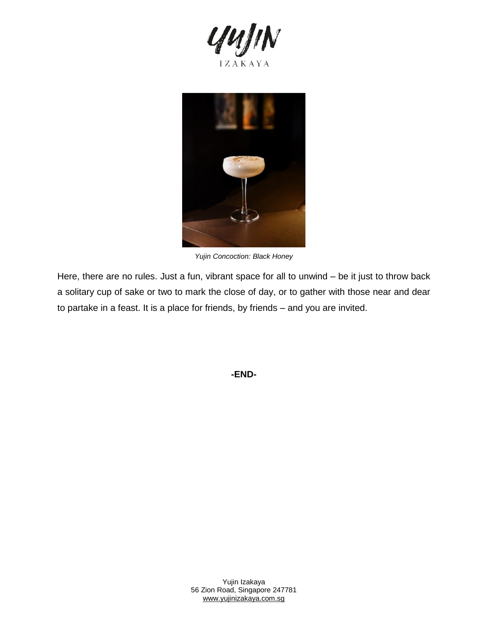



*Yujin Concoction: Black Honey*

Here, there are no rules. Just a fun, vibrant space for all to unwind – be it just to throw back a solitary cup of sake or two to mark the close of day, or to gather with those near and dear to partake in a feast. It is a place for friends, by friends – and you are invited.

**-END-**